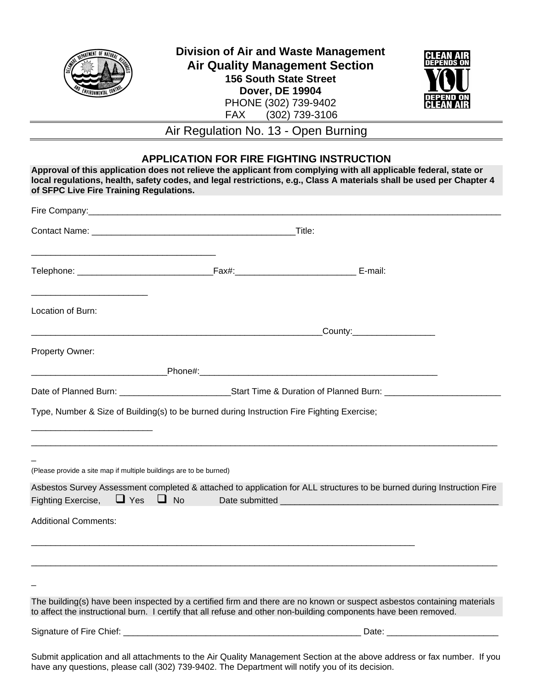

**Division of Air and Waste Management Air Quality Management Section 156 South State Street Dover, DE 19904**  PHONE (302) 739-9402 FAX (302) 739-3106



Air Regulation No. 13 - Open Burning

## **APPLICATION FOR FIRE FIGHTING INSTRUCTION**

| of SFPC Live Fire Training Regulations.                                                    |  | Approval of this application does not relieve the applicant from complying with all applicable federal, state or<br>local regulations, health, safety codes, and legal restrictions, e.g., Class A materials shall be used per Chapter 4    |  |
|--------------------------------------------------------------------------------------------|--|---------------------------------------------------------------------------------------------------------------------------------------------------------------------------------------------------------------------------------------------|--|
|                                                                                            |  |                                                                                                                                                                                                                                             |  |
|                                                                                            |  |                                                                                                                                                                                                                                             |  |
|                                                                                            |  |                                                                                                                                                                                                                                             |  |
| <u> 1986 - John Stein, Amerikaansk politiker (</u><br>Location of Burn:                    |  |                                                                                                                                                                                                                                             |  |
|                                                                                            |  | _County:_____________________                                                                                                                                                                                                               |  |
| Property Owner:                                                                            |  |                                                                                                                                                                                                                                             |  |
|                                                                                            |  |                                                                                                                                                                                                                                             |  |
|                                                                                            |  |                                                                                                                                                                                                                                             |  |
| Type, Number & Size of Building(s) to be burned during Instruction Fire Fighting Exercise; |  |                                                                                                                                                                                                                                             |  |
| (Please provide a site map if multiple buildings are to be burned)                         |  |                                                                                                                                                                                                                                             |  |
| Fighting Exercise, $\Box$ Yes $\Box$ No                                                    |  | Asbestos Survey Assessment completed & attached to application for ALL structures to be burned during Instruction Fire                                                                                                                      |  |
| <b>Additional Comments:</b>                                                                |  |                                                                                                                                                                                                                                             |  |
|                                                                                            |  |                                                                                                                                                                                                                                             |  |
|                                                                                            |  |                                                                                                                                                                                                                                             |  |
|                                                                                            |  | The building(s) have been inspected by a certified firm and there are no known or suspect asbestos containing materials<br>to affect the instructional burn. I certify that all refuse and other non-building components have been removed. |  |
|                                                                                            |  | Date: <u>_____________________________</u>                                                                                                                                                                                                  |  |

Submit application and all attachments to the Air Quality Management Section at the above address or fax number. If you have any questions, please call (302) 739-9402. The Department will notify you of its decision.